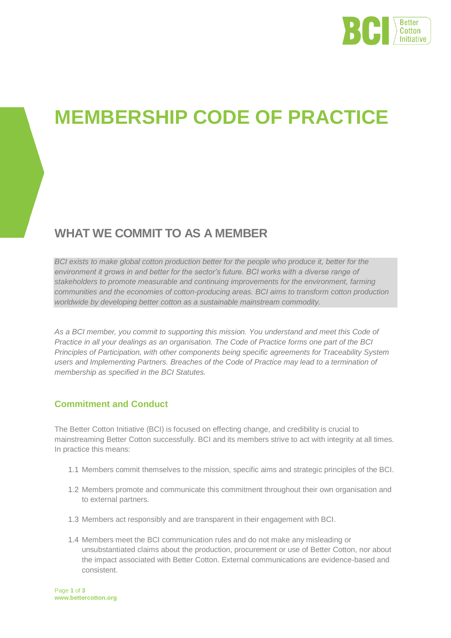

# **MEMBERSHIP CODE OF PRACTICE**

# **WHAT WE COMMIT TO AS A MEMBER**

*BCI exists to make global cotton production better for the people who produce it, better for the environment it grows in and better for the sector's future. BCI works with a diverse range of stakeholders to promote measurable and continuing improvements for the environment, farming communities and the economies of cotton-producing areas. BCI aims to transform cotton production worldwide by developing better cotton as a sustainable mainstream commodity.* 

*As a BCI member, you commit to supporting this mission. You understand and meet this Code of Practice in all your dealings as an organisation. The Code of Practice forms one part of the BCI Principles of Participation, with other components being specific agreements for Traceability System users and Implementing Partners. Breaches of the Code of Practice may lead to a termination of membership as specified in the BCI Statutes.* 

# **Commitment and Conduct**

The Better Cotton Initiative (BCI) is focused on effecting change, and credibility is crucial to mainstreaming Better Cotton successfully. BCI and its members strive to act with integrity at all times. In practice this means:

- 1.1 Members commit themselves to the mission, specific aims and strategic principles of the BCI.
- 1.2 Members promote and communicate this commitment throughout their own organisation and to external partners.
- 1.3 Members act responsibly and are transparent in their engagement with BCI.
- 1.4 Members meet the BCI communication rules and do not make any misleading or unsubstantiated claims about the production, procurement or use of Better Cotton, nor about the impact associated with Better Cotton. External communications are evidence-based and consistent.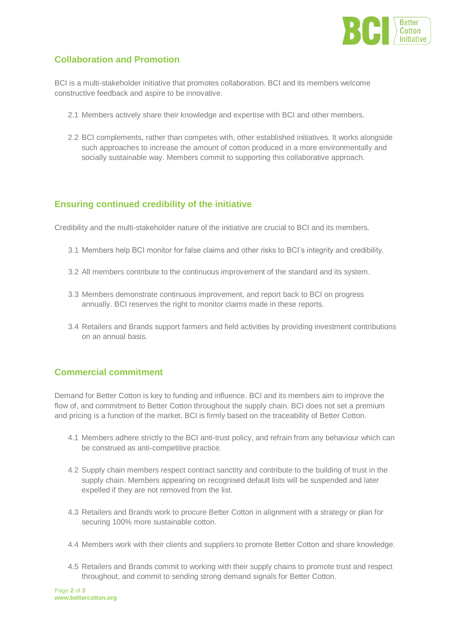

## **Collaboration and Promotion**

BCI is a multi-stakeholder initiative that promotes collaboration. BCI and its members welcome constructive feedback and aspire to be innovative.

- 2.1 Members actively share their knowledge and expertise with BCI and other members.
- 2.2 BCI complements, rather than competes with, other established initiatives. It works alongside such approaches to increase the amount of cotton produced in a more environmentally and socially sustainable way. Members commit to supporting this collaborative approach.

### **Ensuring continued credibility of the initiative**

Credibility and the multi-stakeholder nature of the initiative are crucial to BCI and its members.

- 3.1 Members help BCI monitor for false claims and other risks to BCI's integrity and credibility.
- 3.2 All members contribute to the continuous improvement of the standard and its system.
- 3.3 Members demonstrate continuous improvement, and report back to BCI on progress annually. BCI reserves the right to monitor claims made in these reports.
- 3.4 Retailers and Brands support farmers and field activities by providing investment contributions on an annual basis.

### **Commercial commitment**

Demand for Better Cotton is key to funding and influence. BCI and its members aim to improve the flow of, and commitment to Better Cotton throughout the supply chain. BCI does not set a premium and pricing is a function of the market. BCI is firmly based on the traceability of Better Cotton.

- 4.1 Members adhere strictly to the BCI anti-trust policy, and refrain from any behaviour which can be construed as anti-competitive practice.
- 4.2 Supply chain members respect contract sanctity and contribute to the building of trust in the supply chain. Members appearing on recognised default lists will be suspended and later expelled if they are not removed from the list.
- 4.3 Retailers and Brands work to procure Better Cotton in alignment with a strategy or plan for securing 100% more sustainable cotton.
- 4.4 Members work with their clients and suppliers to promote Better Cotton and share knowledge.
- 4.5 Retailers and Brands commit to working with their supply chains to promote trust and respect throughout, and commit to sending strong demand signals for Better Cotton.